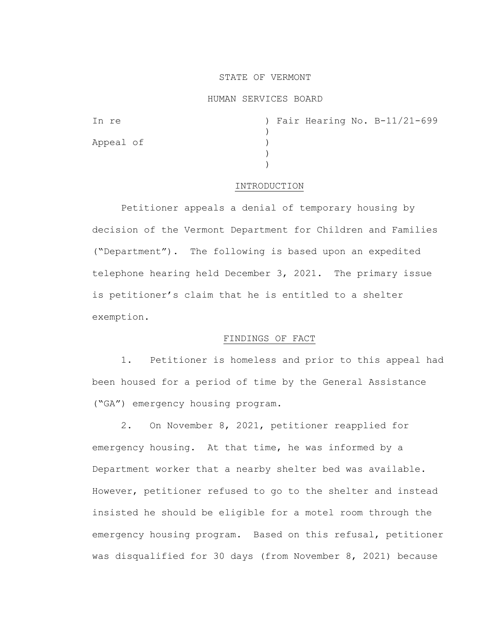### STATE OF VERMONT

### HUMAN SERVICES BOARD

| In re     |  |  | ) Fair Hearing No. B-11/21-699 |
|-----------|--|--|--------------------------------|
|           |  |  |                                |
| Appeal of |  |  |                                |
|           |  |  |                                |
|           |  |  |                                |

#### INTRODUCTION

Petitioner appeals a denial of temporary housing by decision of the Vermont Department for Children and Families ("Department"). The following is based upon an expedited telephone hearing held December 3, 2021. The primary issue is petitioner's claim that he is entitled to a shelter exemption.

# FINDINGS OF FACT

1. Petitioner is homeless and prior to this appeal had been housed for a period of time by the General Assistance ("GA") emergency housing program.

2. On November 8, 2021, petitioner reapplied for emergency housing. At that time, he was informed by a Department worker that a nearby shelter bed was available. However, petitioner refused to go to the shelter and instead insisted he should be eligible for a motel room through the emergency housing program. Based on this refusal, petitioner was disqualified for 30 days (from November 8, 2021) because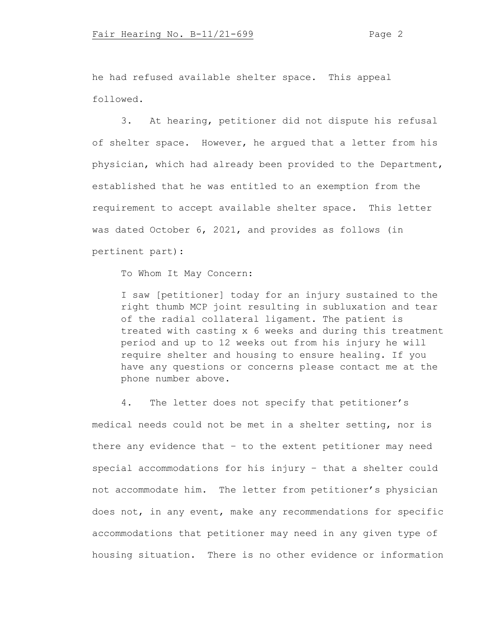he had refused available shelter space. This appeal followed.

3. At hearing, petitioner did not dispute his refusal of shelter space. However, he argued that a letter from his physician, which had already been provided to the Department, established that he was entitled to an exemption from the requirement to accept available shelter space. This letter was dated October 6, 2021, and provides as follows (in pertinent part):

To Whom It May Concern:

I saw [petitioner] today for an injury sustained to the right thumb MCP joint resulting in subluxation and tear of the radial collateral ligament. The patient is treated with casting x 6 weeks and during this treatment period and up to 12 weeks out from his injury he will require shelter and housing to ensure healing. If you have any questions or concerns please contact me at the phone number above.

4. The letter does not specify that petitioner's medical needs could not be met in a shelter setting, nor is there any evidence that – to the extent petitioner may need special accommodations for his injury – that a shelter could not accommodate him. The letter from petitioner's physician does not, in any event, make any recommendations for specific accommodations that petitioner may need in any given type of housing situation. There is no other evidence or information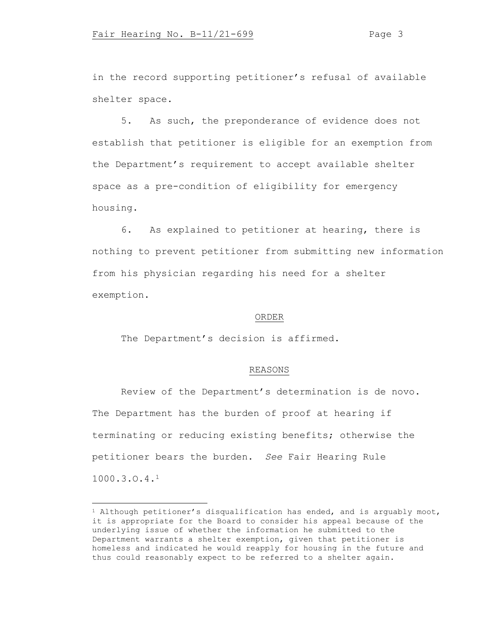in the record supporting petitioner's refusal of available shelter space.

5. As such, the preponderance of evidence does not establish that petitioner is eligible for an exemption from the Department's requirement to accept available shelter space as a pre-condition of eligibility for emergency housing.

6. As explained to petitioner at hearing, there is nothing to prevent petitioner from submitting new information from his physician regarding his need for a shelter exemption.

## ORDER

The Department's decision is affirmed.

## REASONS

Review of the Department's determination is de novo. The Department has the burden of proof at hearing if terminating or reducing existing benefits; otherwise the petitioner bears the burden. *See* Fair Hearing Rule 1000.3.O.4.<sup>1</sup>

 $1$  Although petitioner's disqualification has ended, and is arguably moot, it is appropriate for the Board to consider his appeal because of the underlying issue of whether the information he submitted to the Department warrants a shelter exemption, given that petitioner is homeless and indicated he would reapply for housing in the future and thus could reasonably expect to be referred to a shelter again.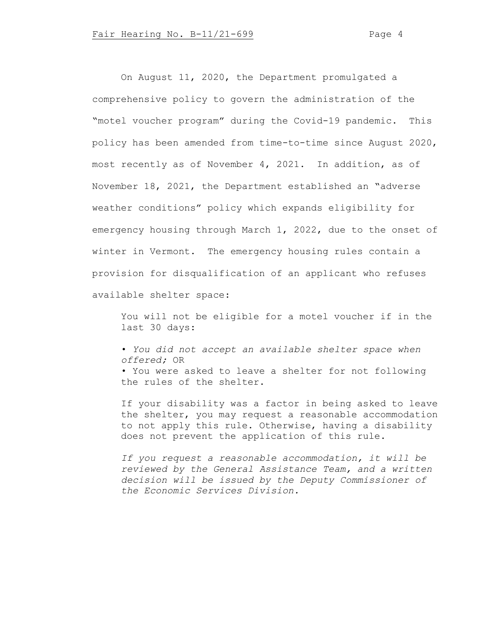On August 11, 2020, the Department promulgated a comprehensive policy to govern the administration of the "motel voucher program" during the Covid-19 pandemic. This policy has been amended from time-to-time since August 2020, most recently as of November 4, 2021. In addition, as of November 18, 2021, the Department established an "adverse weather conditions" policy which expands eligibility for emergency housing through March 1, 2022, due to the onset of winter in Vermont. The emergency housing rules contain a provision for disqualification of an applicant who refuses available shelter space:

You will not be eligible for a motel voucher if in the last 30 days:

• *You did not accept an available shelter space when offered;* OR

• You were asked to leave a shelter for not following the rules of the shelter.

If your disability was a factor in being asked to leave the shelter, you may request a reasonable accommodation to not apply this rule. Otherwise, having a disability does not prevent the application of this rule.

*If you request a reasonable accommodation, it will be reviewed by the General Assistance Team, and a written decision will be issued by the Deputy Commissioner of the Economic Services Division.*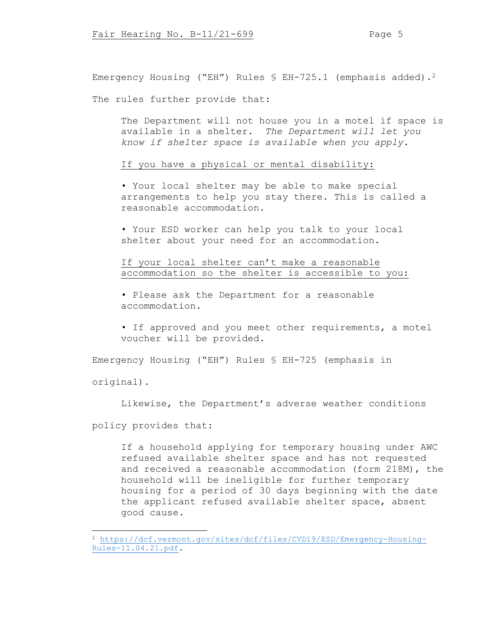Emergency Housing ("EH") Rules  $\frac{1}{2}$  EH-725.1 (emphasis added).<sup>2</sup>

The rules further provide that:

The Department will not house you in a motel if space is available in a shelter. *The Department will let you know if shelter space is available when you apply.*

If you have a physical or mental disability:

• Your local shelter may be able to make special arrangements to help you stay there. This is called a reasonable accommodation.

• Your ESD worker can help you talk to your local shelter about your need for an accommodation.

If your local shelter can't make a reasonable accommodation so the shelter is accessible to you:

• Please ask the Department for a reasonable accommodation.

• If approved and you meet other requirements, a motel voucher will be provided.

Emergency Housing ("EH") Rules § EH-725 (emphasis in

original).

Likewise, the Department's adverse weather conditions

policy provides that:

If a household applying for temporary housing under AWC refused available shelter space and has not requested and received a reasonable accommodation (form 218M), the household will be ineligible for further temporary housing for a period of 30 days beginning with the date the applicant refused available shelter space, absent good cause.

<sup>2</sup> [https://dcf.vermont.gov/sites/dcf/files/CVD19/ESD/Emergency-Housing-](https://dcf.vermont.gov/sites/dcf/files/CVD19/ESD/Emergency-Housing-Rules-11.04.21.pdf)[Rules-11.04.21.pdf.](https://dcf.vermont.gov/sites/dcf/files/CVD19/ESD/Emergency-Housing-Rules-11.04.21.pdf)